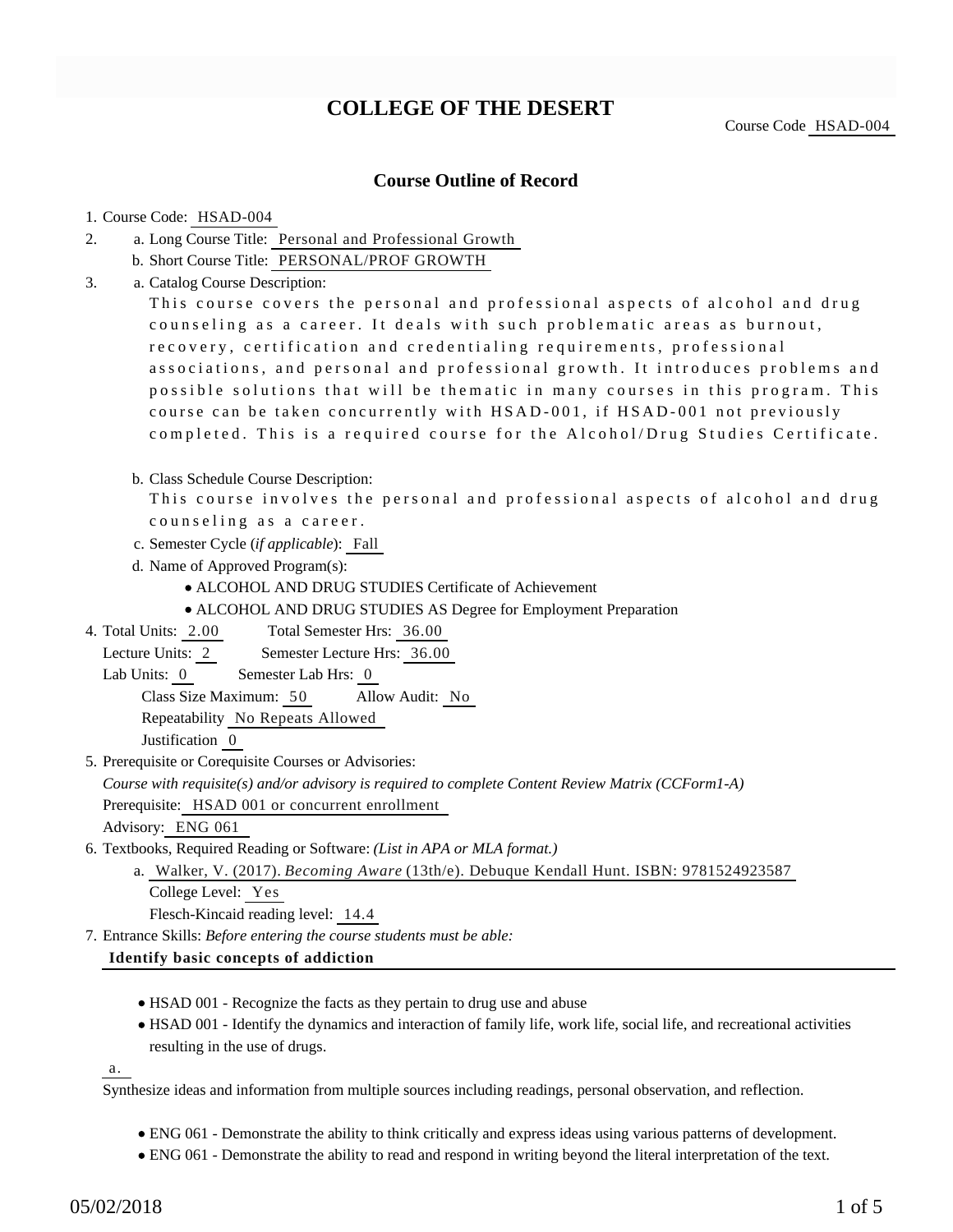# **COLLEGE OF THE DESERT**

## **Course Outline of Record**

#### 1. Course Code: HSAD-004

- a. Long Course Title: Personal and Professional Growth 2.
	- b. Short Course Title: PERSONAL/PROF GROWTH
- Catalog Course Description: a. 3.

This course covers the personal and professional aspects of alcohol and drug counseling as a career. It deals with such problematic areas as burnout, recovery, certification and credentialing requirements, professional associations, and personal and professional growth. It introduces problems and possible solutions that will be thematic in many courses in this program. This course can be taken concurrently with HSAD-001, if HSAD-001 not previously completed. This is a required course for the Alcohol/Drug Studies Certificate.

b. Class Schedule Course Description:

This course involves the personal and professional aspects of alcohol and drug counseling as a career.

- c. Semester Cycle (*if applicable*): Fall
- d. Name of Approved Program(s):
	- ALCOHOL AND DRUG STUDIES Certificate of Achievement
	- ALCOHOL AND DRUG STUDIES AS Degree for Employment Preparation
- Total Semester Hrs: 36.00 4. Total Units: 2.00
- Lecture Units: 2 Semester Lecture Hrs: 36.00
- Lab Units: 0 Semester Lab Hrs: 0

Class Size Maximum: 50 Allow Audit: No

Repeatability No Repeats Allowed

Justification 0

5. Prerequisite or Corequisite Courses or Advisories:

*Course with requisite(s) and/or advisory is required to complete Content Review Matrix (CCForm1-A)*

Prerequisite: HSAD 001 or concurrent enrollment

Advisory: ENG 061

6. Textbooks, Required Reading or Software: (List in APA or MLA format.)

Walker, V. (2017). *Becoming Aware* (13th/e). Debuque Kendall Hunt. ISBN: 9781524923587 a. College Level: Yes Flesch-Kincaid reading level: 14.4

Entrance Skills: *Before entering the course students must be able:* 7.

#### **Identify basic concepts of addiction**

- HSAD 001 Recognize the facts as they pertain to drug use and abuse
- HSAD 001 Identify the dynamics and interaction of family life, work life, social life, and recreational activities resulting in the use of drugs.

a.

Synthesize ideas and information from multiple sources including readings, personal observation, and reflection.

- ENG 061 Demonstrate the ability to think critically and express ideas using various patterns of development.
- ENG 061 Demonstrate the ability to read and respond in writing beyond the literal interpretation of the text.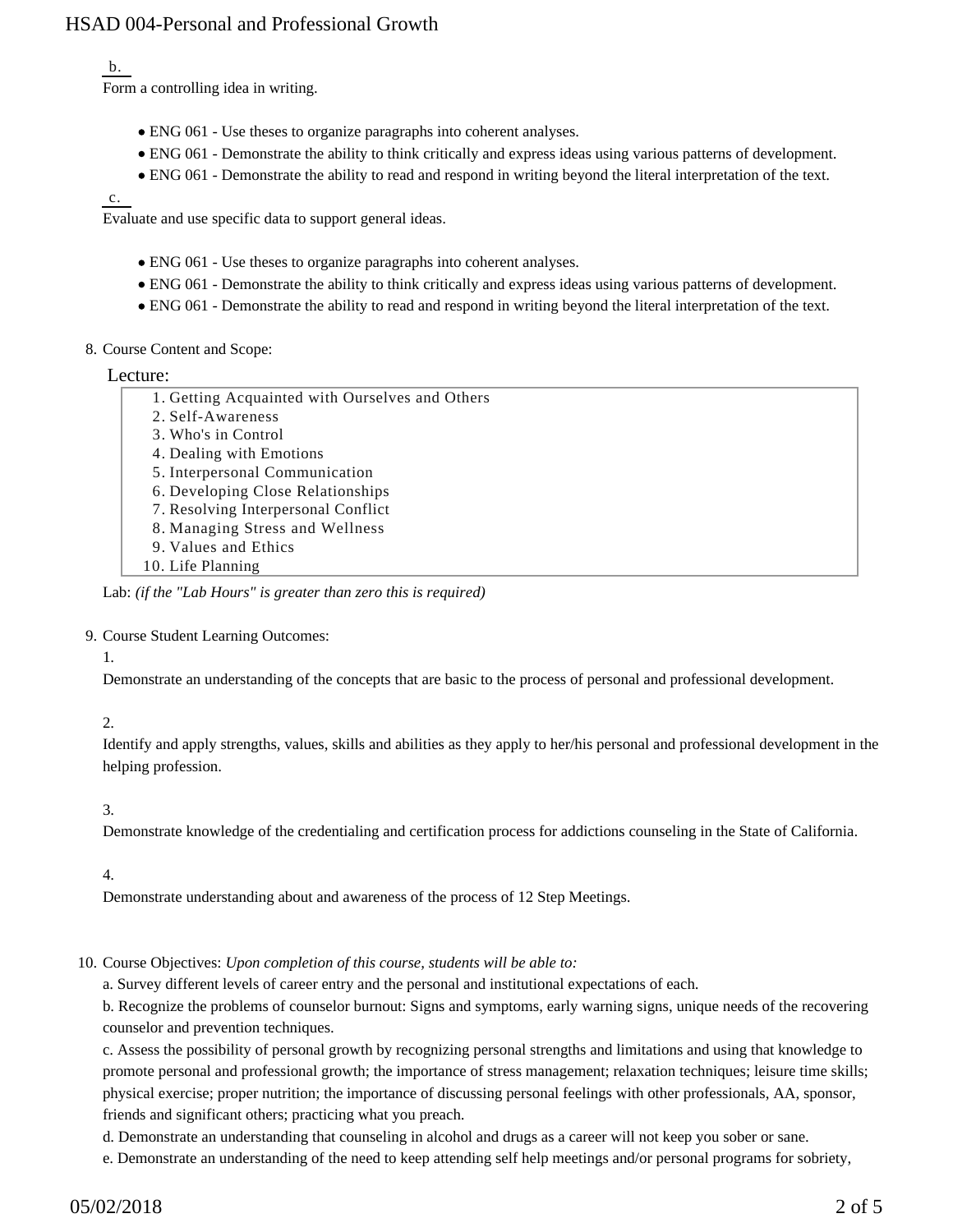## b.

Form a controlling idea in writing.

- ENG 061 Use theses to organize paragraphs into coherent analyses.
- ENG 061 Demonstrate the ability to think critically and express ideas using various patterns of development.
- ENG 061 Demonstrate the ability to read and respond in writing beyond the literal interpretation of the text.

#### c.

Evaluate and use specific data to support general ideas.

- ENG 061 Use theses to organize paragraphs into coherent analyses.
- ENG 061 Demonstrate the ability to think critically and express ideas using various patterns of development.
- ENG 061 Demonstrate the ability to read and respond in writing beyond the literal interpretation of the text.

#### 8. Course Content and Scope:

#### Lecture:

| 1. Getting Acquainted with Ourselves and Others |
|-------------------------------------------------|
| 2. Self-Awareness                               |

- 3. Who's in Control
- 4. Dealing with Emotions
- 5. Interpersonal Communication
- 6. Developing Close Relationships
- 7. Resolving Interpersonal Conflict
- 8. Managing Stress and Wellness
- 9. Values and Ethics
- 10. Life Planning

Lab: *(if the "Lab Hours" is greater than zero this is required)*

#### 9. Course Student Learning Outcomes:

#### 1.

Demonstrate an understanding of the concepts that are basic to the process of personal and professional development.

## 2.

Identify and apply strengths, values, skills and abilities as they apply to her/his personal and professional development in the helping profession.

## 3.

Demonstrate knowledge of the credentialing and certification process for addictions counseling in the State of California.

4.

Demonstrate understanding about and awareness of the process of 12 Step Meetings.

## 10. Course Objectives: Upon completion of this course, students will be able to:

a. Survey different levels of career entry and the personal and institutional expectations of each.

b. Recognize the problems of counselor burnout: Signs and symptoms, early warning signs, unique needs of the recovering counselor and prevention techniques.

c. Assess the possibility of personal growth by recognizing personal strengths and limitations and using that knowledge to promote personal and professional growth; the importance of stress management; relaxation techniques; leisure time skills; physical exercise; proper nutrition; the importance of discussing personal feelings with other professionals, AA, sponsor, friends and significant others; practicing what you preach.

d. Demonstrate an understanding that counseling in alcohol and drugs as a career will not keep you sober or sane.

e. Demonstrate an understanding of the need to keep attending self help meetings and/or personal programs for sobriety,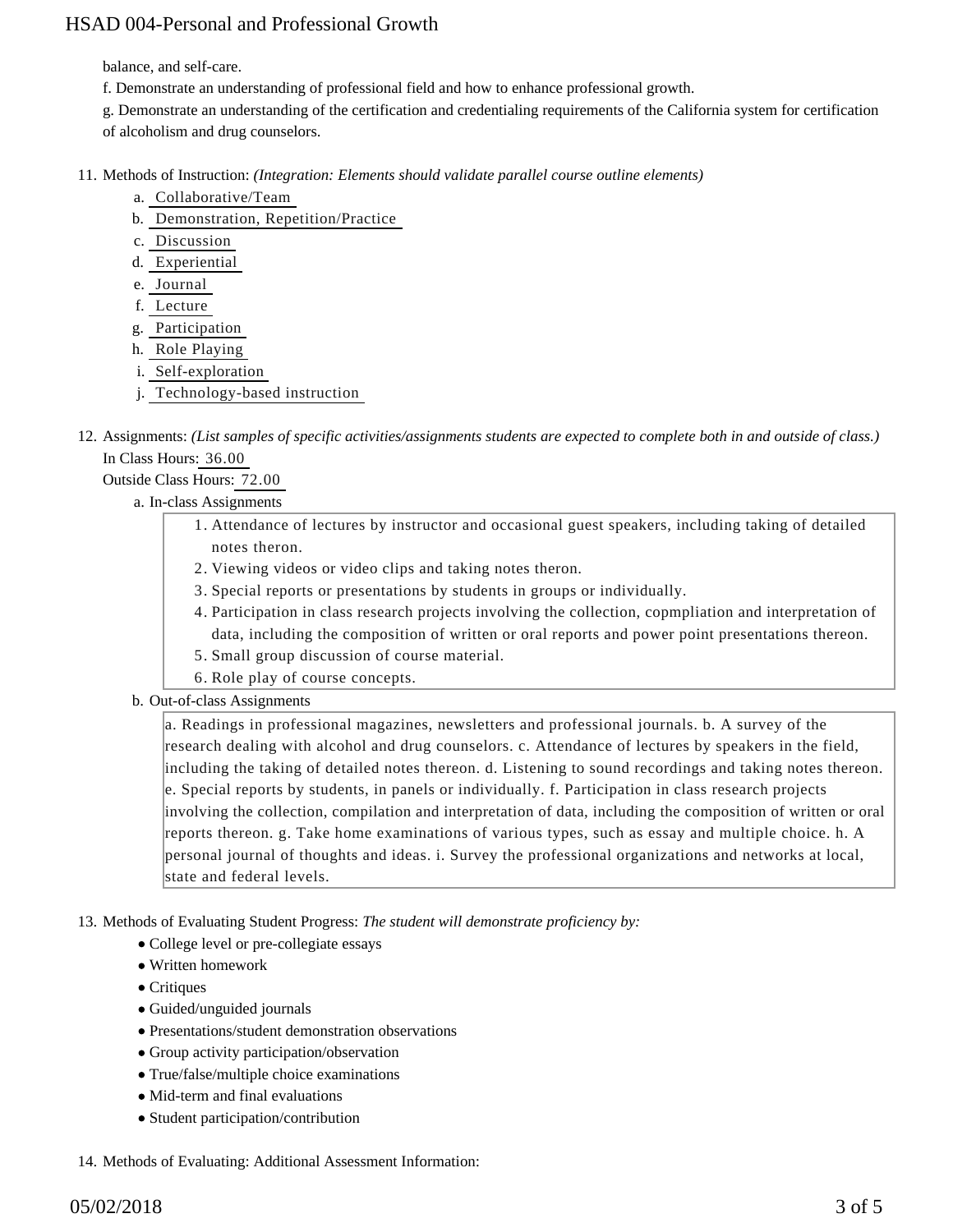balance, and self-care.

- f. Demonstrate an understanding of professional field and how to enhance professional growth.
- g. Demonstrate an understanding of the certification and credentialing requirements of the California system for certification of alcoholism and drug counselors.
- 11. Methods of Instruction: *(Integration: Elements should validate parallel course outline elements)* 
	- a. Collaborative/Team
	- b. Demonstration, Repetition/Practice
	- c. Discussion
	- d. Experiential
	- e. Journal
	- f. Lecture
	- g. Participation
	- h. Role Playing
	- i. Self-exploration
	- j. Technology-based instruction
- 12. Assignments: (List samples of specific activities/assignments students are expected to complete both in and outside of class.) In Class Hours: 36.00

Outside Class Hours: 72.00

- a. In-class Assignments
	- Attendance of lectures by instructor and occasional guest speakers, including taking of detailed 1. notes theron.
	- 2. Viewing videos or video clips and taking notes theron.
	- 3. Special reports or presentations by students in groups or individually.
	- 4. Participation in class research projects involving the collection, copmpliation and interpretation of data, including the composition of written or oral reports and power point presentations thereon.
	- 5. Small group discussion of course material.
	- 6. Role play of course concepts.
- b. Out-of-class Assignments

a. Readings in professional magazines, newsletters and professional journals. b. A survey of the research dealing with alcohol and drug counselors. c. Attendance of lectures by speakers in the field, including the taking of detailed notes thereon. d. Listening to sound recordings and taking notes thereon. e. Special reports by students, in panels or individually. f. Participation in class research projects involving the collection, compilation and interpretation of data, including the composition of written or oral reports thereon. g. Take home examinations of various types, such as essay and multiple choice. h. A personal journal of thoughts and ideas. i. Survey the professional organizations and networks at local, state and federal levels.

13. Methods of Evaluating Student Progress: The student will demonstrate proficiency by:

- College level or pre-collegiate essays
- Written homework
- Critiques
- Guided/unguided journals
- Presentations/student demonstration observations
- Group activity participation/observation
- True/false/multiple choice examinations
- Mid-term and final evaluations
- Student participation/contribution
- 14. Methods of Evaluating: Additional Assessment Information: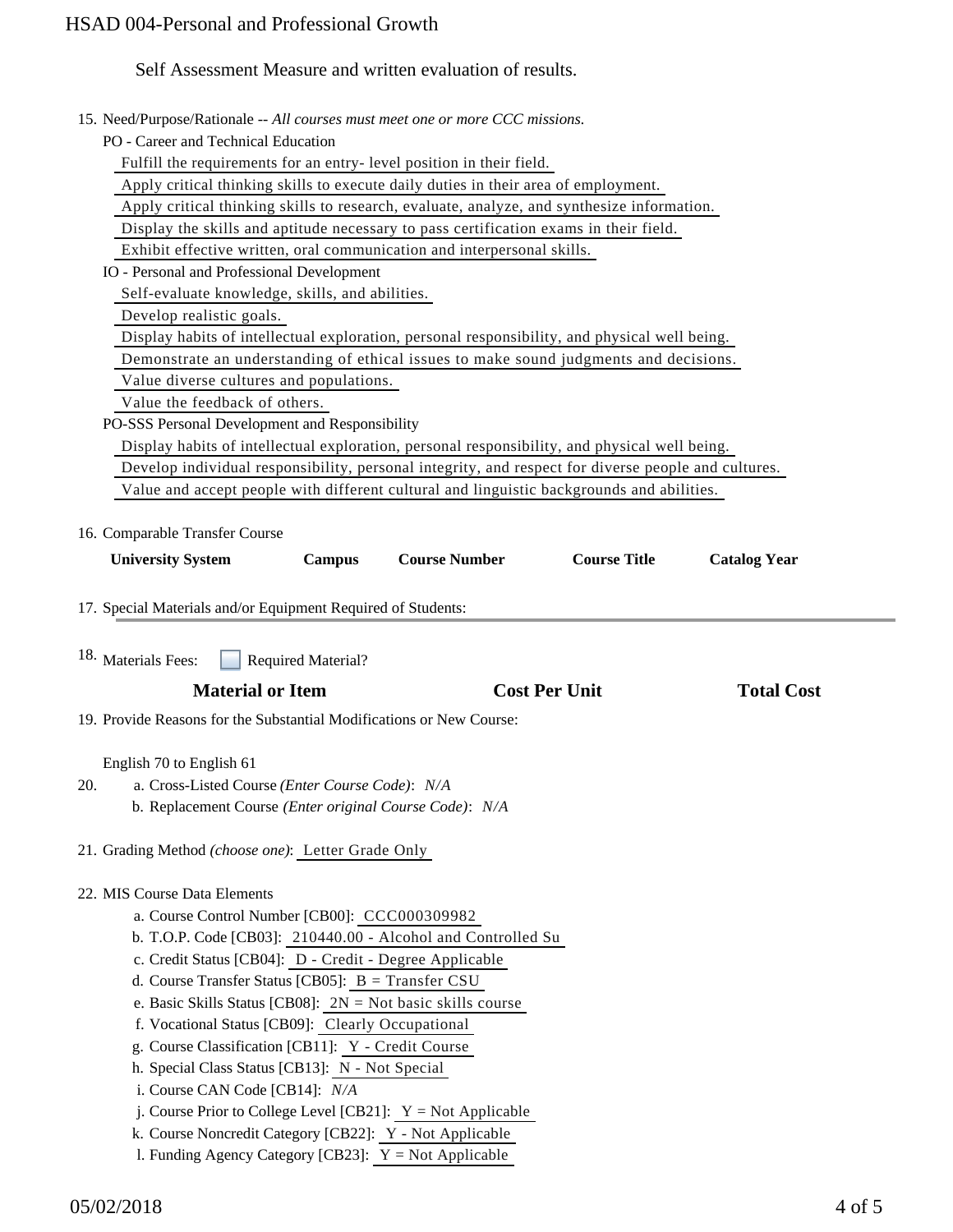## Self Assessment Measure and written evaluation of results.

|  | 15. Need/Purpose/Rationale -- All courses must meet one or more CCC missions. |  |  |  |  |  |  |  |  |
|--|-------------------------------------------------------------------------------|--|--|--|--|--|--|--|--|
|--|-------------------------------------------------------------------------------|--|--|--|--|--|--|--|--|

PO - Career and Technical Education

Fulfill the requirements for an entry- level position in their field.

Apply critical thinking skills to execute daily duties in their area of employment.

Apply critical thinking skills to research, evaluate, analyze, and synthesize information.

Display the skills and aptitude necessary to pass certification exams in their field.

Exhibit effective written, oral communication and interpersonal skills.

IO - Personal and Professional Development

Self-evaluate knowledge, skills, and abilities.

Develop realistic goals.

Display habits of intellectual exploration, personal responsibility, and physical well being.

Demonstrate an understanding of ethical issues to make sound judgments and decisions.

Value diverse cultures and populations.

Value the feedback of others.

PO-SSS Personal Development and Responsibility

Display habits of intellectual exploration, personal responsibility, and physical well being.

Develop individual responsibility, personal integrity, and respect for diverse people and cultures.

Value and accept people with different cultural and linguistic backgrounds and abilities.

16. Comparable Transfer Course

| <b>University System</b>                                                                                                                                     | <b>Campus</b>             | <b>Course Number</b>                                         | <b>Course Title</b> | <b>Catalog Year</b> |  |  |  |  |  |  |  |  |  |
|--------------------------------------------------------------------------------------------------------------------------------------------------------------|---------------------------|--------------------------------------------------------------|---------------------|---------------------|--|--|--|--|--|--|--|--|--|
| 17. Special Materials and/or Equipment Required of Students:                                                                                                 |                           |                                                              |                     |                     |  |  |  |  |  |  |  |  |  |
| 18. Materials Fees:                                                                                                                                          | <b>Required Material?</b> |                                                              |                     |                     |  |  |  |  |  |  |  |  |  |
| <b>Material or Item</b>                                                                                                                                      |                           | <b>Cost Per Unit</b>                                         | <b>Total Cost</b>   |                     |  |  |  |  |  |  |  |  |  |
| 19. Provide Reasons for the Substantial Modifications or New Course:                                                                                         |                           |                                                              |                     |                     |  |  |  |  |  |  |  |  |  |
| English 70 to English 61<br>a. Cross-Listed Course (Enter Course Code): N/A<br>20.<br>b. Replacement Course <i>(Enter original Course Code)</i> : <i>N/A</i> |                           |                                                              |                     |                     |  |  |  |  |  |  |  |  |  |
| 21. Grading Method (choose one): Letter Grade Only                                                                                                           |                           |                                                              |                     |                     |  |  |  |  |  |  |  |  |  |
| 22. MIS Course Data Elements                                                                                                                                 |                           |                                                              |                     |                     |  |  |  |  |  |  |  |  |  |
| a. Course Control Number [CB00]: CCC000309982                                                                                                                |                           |                                                              |                     |                     |  |  |  |  |  |  |  |  |  |
|                                                                                                                                                              |                           | b. T.O.P. Code [CB03]: 210440.00 - Alcohol and Controlled Su |                     |                     |  |  |  |  |  |  |  |  |  |

c. Credit Status [CB04]: D - Credit - Degree Applicable

- d. Course Transfer Status [CB05]: B = Transfer CSU
- e. Basic Skills Status [CB08]: 2N = Not basic skills course
- f. Vocational Status [CB09]: Clearly Occupational
- g. Course Classification [CB11]: Y Credit Course
- h. Special Class Status [CB13]: N Not Special
- i. Course CAN Code [CB14]: *N/A*
- j. Course Prior to College Level [CB21]:  $Y = Not$  Applicable
- k. Course Noncredit Category [CB22]: Y Not Applicable
- l. Funding Agency Category [CB23]:  $Y = Not$  Applicable